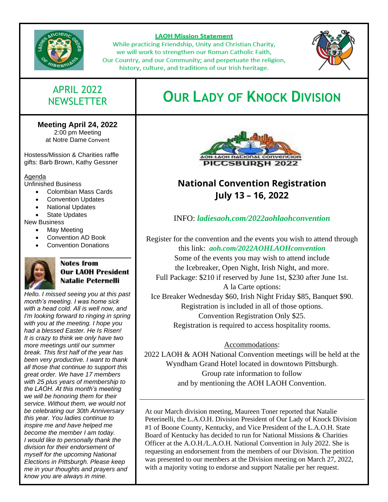

#### **LAOH Mission Statement**

While practicing Friendship, Unity and Christian Charity, we will work to strengthen our Roman Catholic Faith, Our Country, and our Community; and perpetuate the religion, history, culture, and traditions of our Irish heritage.



# APRIL 2022

### **Meeting April 24, 2022**

2:00 pm Meeting at Notre Dame Convent

Hostess/Mission & Charities raffle gifts: Barb Brown, Kathy Gessner

Agenda

Unfinished Business

- Colombian Mass Cards
- Convention Updates
- National Updates
- **State Updates**

New Business

- May Meeting
- Convention AD Book
- Convention Donations



### Notes from **Our LAOH President Natalie Peternelli**

*Hello. I missed seeing you at this past month's meeting. I was home sick with a head cold. All is well now, and I'm looking forward to ringing in spring with you at the meeting. I hope you had a blessed Easter. He Is Risen! It is crazy to think we only have two more meetings until our summer break. This first half of the year has been very productive. I want to thank all those that continue to support this great order. We have 17 members with 25 plus years of membership to the LAOH. At this month's meeting we will be honoring them for their service. Without them, we would not be celebrating our 30th Anniversary this year. You ladies continue to inspire me and have helped me become the member I am today. I would like to personally thank the division for their endorsement of myself for the upcoming National Elections in Pittsburgh. Please keep me in your thoughts and prayers and know you are always in mine.*

# NEWSLETTER **OUR LADY OF KNOCK DIVISION**



## **National Convention Registration July 13 – 16, 2022**

### INFO: *[ladiesaoh.com/2022aohlaohconvention](https://ladiesaoh.com/2022aohlaohconvention/)*

Register for the convention and the events you wish to attend through this link: *[aoh.com/2022AOHLAOHconvention](https://aoh.com/2022AOHLAOHconvention/)*

Some of the events you may wish to attend include the Icebreaker, Open Night, Irish Night, and more.

Full Package: \$210 if reserved by June 1st, \$230 after June 1st. A la Carte options:

Ice Breaker Wednesday \$60, Irish Night Friday \$85, Banquet \$90. Registration is included in all of those options. Convention Registration Only \$25. Registration is required to access hospitality rooms.

### Accommodations:

2022 LAOH & AOH National Convention meetings will be held at the Wyndham Grand Hotel located in downtown Pittsburgh. Group rate information to follow and by mentioning the AOH LAOH Convention.

At our March division meeting, Maureen Toner reported that Natalie Peterinelli, the L.A.O.H. Division President of Our Lady of Knock Division #1 of Boone County, Kentucky, and Vice President of the L.A.O.H. State Board of Kentucky has decided to run for National Missions & Charities Officer at the A.O.H./L.A.O.H. National Convention in July 2022. She is requesting an endorsement from the members of our Division. The petition was presented to our members at the Division meeting on March 27, 2022, with a majority voting to endorse and support Natalie per her request.